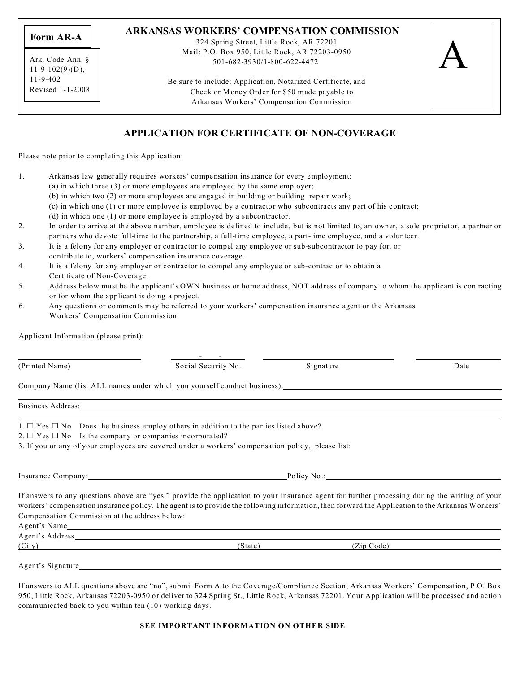**Form AR-A**

Ark. Code Ann. §  $11-9-102(9)(D)$ , 11-9-402 Revised 1-1-2008

### **ARKANSAS WORKERS' COMPENSATION COMMISSION**

324 Spring Street, Little Rock, AR 72201 Mail: P.O. Box 950, Little Rock, AR 72203-0950 501-682-3930/1-800-622-4472

A

Be sure to include: Application, Notarized Certificate, and Check or Money Order for \$50 made payable to Arkansas Workers' Compensation Commission

## **APPLICATION FOR CERTIFICATE OF NON-COVERAGE**

Please note prior to completing this Application:

Applicant Information (please print):

- 1. Arkansas law generally requires workers' compensation insurance for every employment:
	- (a) in which three (3) or more employees are employed by the same employer;
	- (b) in which two (2) or more employees are engaged in building or building repair work;
	- (c) in which one (1) or more employee is employed by a contractor who subcontracts any part of his contract;
	- (d) in which one (1) or more employee is employed by a subcontractor.
- 2. In order to arrive at the above number, employee is defined to include, but is not limited to, an owner, a sole proprietor, a partner or partners who devote full-time to the partnership, a full-time employee, a part-time employee, and a volunteer.
- 3. It is a felony for any employer or contractor to compel any employee or sub-subcontractor to pay for, or
- contribute to, workers' compensation insurance coverage.
- 4 It is a felony for any employer or contractor to compel any employee or sub-contractor to obtain a Certificate of Non-Coverage.
- 5. Address below must be the applicant's OWN business or home address, NOT address of company to whom the applicant is contracting or for whom the applicant is doing a project.
- 6. Any questions or comments may be referred to your workers' compensation insurance agent or the Arkansas Workers' Compensation Commission.

| (Printed Name)                                                    | Social Security No.                                                                                                                                                                                                                                                                                | Signature   | Date |
|-------------------------------------------------------------------|----------------------------------------------------------------------------------------------------------------------------------------------------------------------------------------------------------------------------------------------------------------------------------------------------|-------------|------|
|                                                                   |                                                                                                                                                                                                                                                                                                    |             |      |
|                                                                   | Company Name (list ALL names under which you yourself conduct business):                                                                                                                                                                                                                           |             |      |
|                                                                   | Business Address: No. 1996. The Second Second Second Second Second Second Second Second Second Second Second Second Second Second Second Second Second Second Second Second Second Second Second Second Second Second Second S                                                                     |             |      |
|                                                                   | 1. $\Box$ Yes $\Box$ No Does the business employ others in addition to the parties listed above?                                                                                                                                                                                                   |             |      |
| 2. $\Box$ Yes $\Box$ No Is the company or companies incorporated? |                                                                                                                                                                                                                                                                                                    |             |      |
|                                                                   | 3. If you or any of your employees are covered under a workers' compensation policy, please list:                                                                                                                                                                                                  |             |      |
|                                                                   | Insurance Company:                                                                                                                                                                                                                                                                                 | Policy No.: |      |
|                                                                   | If answers to any questions above are "yes," provide the application to your insurance agent for further processing during the writing of your<br>workers' compensation insurance policy. The agent is to provide the following information, then forward the Application to the Arkansas Workers' |             |      |
| Compensation Commission at the address below:                     |                                                                                                                                                                                                                                                                                                    |             |      |
| Agent's Name                                                      |                                                                                                                                                                                                                                                                                                    |             |      |

Agent's Address (City) (State) (Zip Code)

Agent's Signature

If answers to ALL questions above are "no", submit Form A to the Coverage/Compliance Section, Arkansas Workers' Compensation, P.O. Box 950, Little Rock, Arkansas 72203-0950 or deliver to 324 Spring St., Little Rock, Arkansas 72201. Your Application will be processed and action communicated back to you within ten (10) working days.

#### **SEE IMPORTANT INFORMATION ON OTHER SIDE**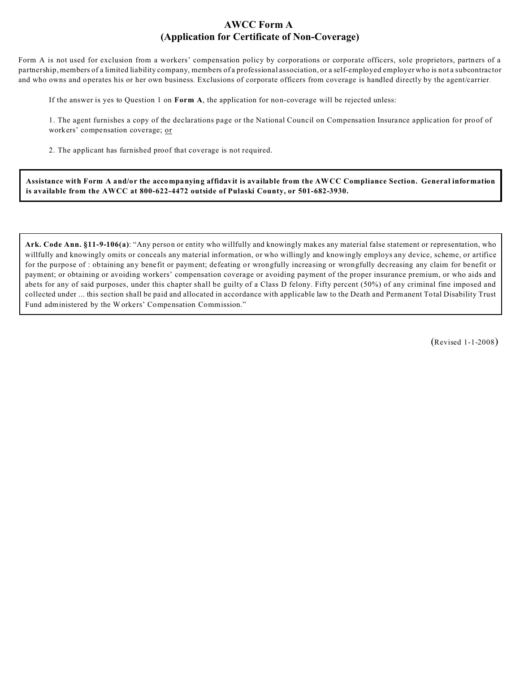## **AWCC Form A (Application for Certificate of Non-Coverage)**

Form A is not used for exclusion from a workers' compensation policy by corporations or corporate officers, sole proprietors, partners of a partnership, members of a limited liability company, members of a professional association, or a self-employed employer who is not a subcontractor and who owns and operates his or her own business. Exclusions of corporate officers from coverage is handled directly by the agent/carrier.

If the answer is yes to Question 1 on **Form A**, the application for non-coverage will be rejected unless:

1. The agent furnishes a copy of the declarations page or the National Council on Compensation Insurance application for proof of workers' compensation coverage; or

2. The applicant has furnished proof that coverage is not required.

**Assistance with Form A and/or the accompanying affidavit is available from the AWCC Compliance Section. General information is available from the AWCC at 800-622-4472 outside of Pulaski County, or 501-682-3930.**

**Ark. Code Ann. §11-9-106(a)**: "Any person or entity who willfully and knowingly makes any material false statement or representation, who willfully and knowingly omits or conceals any material information, or who willingly and knowingly employs any device, scheme, or artifice for the purpose of : obtaining any benefit or payment; defeating or wrongfully increasing or wrongfully decreasing any claim for benefit or payment; or obtaining or avoiding workers' compensation coverage or avoiding payment of the proper insurance premium, or who aids and abets for any of said purposes, under this chapter shall be guilty of a Class D felony. Fifty percent (50%) of any criminal fine imposed and collected under ... this section shall be paid and allocated in accordance with applicable law to the Death and Permanent Total Disability Trust Fund administered by the Workers' Compensation Commission."

(Revised 1-1-2008)